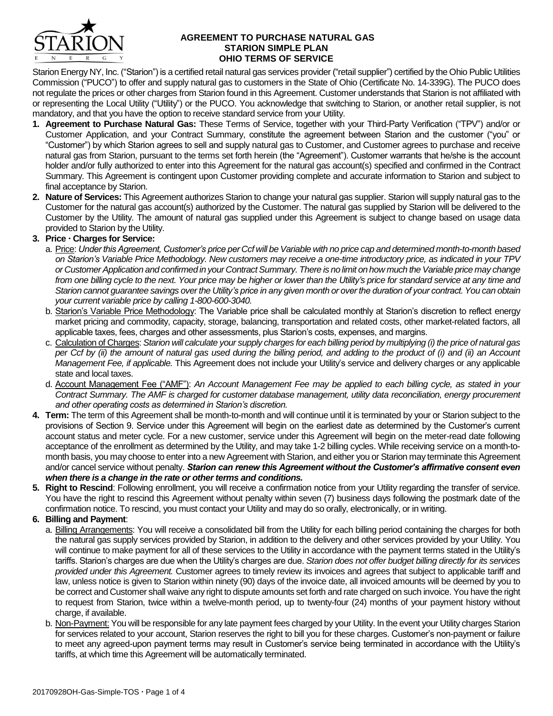

## **AGREEMENT TO PURCHASE NATURAL GAS STARION SIMPLE PLAN OHIO TERMS OF SERVICE**

Starion Energy NY, Inc. ("Starion") is a certified retail natural gas services provider ("retail supplier") certified by the Ohio Public Utilities Commission ("PUCO") to offer and supply natural gas to customers in the State of Ohio (Certificate No. 14-339G). The PUCO does not regulate the prices or other charges from Starion found in this Agreement. Customer understands that Starion is not affiliated with or representing the Local Utility ("Utility") or the PUCO. You acknowledge that switching to Starion, or another retail supplier, is not mandatory, and that you have the option to receive standard service from your Utility.

- **1. Agreement to Purchase Natural Gas:** These Terms of Service, together with your Third-Party Verification ("TPV") and/or or Customer Application, and your Contract Summary, constitute the agreement between Starion and the customer ("you" or "Customer") by which Starion agrees to sell and supply natural gas to Customer, and Customer agrees to purchase and receive natural gas from Starion, pursuant to the terms set forth herein (the "Agreement"). Customer warrants that he/she is the account holder and/or fully authorized to enter into this Agreement for the natural gas account(s) specified and confirmed in the Contract Summary. This Agreement is contingent upon Customer providing complete and accurate information to Starion and subject to final acceptance by Starion.
- **2. Nature of Services:** This Agreement authorizes Starion to change your natural gas supplier. Starion will supply natural gas to the Customer for the natural gas account(s) authorized by the Customer. The natural gas supplied by Starion will be delivered to the Customer by the Utility. The amount of natural gas supplied under this Agreement is subject to change based on usage data provided to Starion by the Utility.

# **3. Price Charges for Service:**

- a. Price: *Under this Agreement, Customer's price per Ccf will be Variable with no price cap and determined month-to-month based on Starion's Variable Price Methodology. New customers may receive a one-time introductory price, as indicated in your TPV or Customer Application and confirmed in your Contract Summary. There is no limit on how much the Variable price may change from one billing cycle to the next. Your price may be higher or lower than the Utility's price for standard service at any time and Starion cannot guarantee savings over the Utility's price in any given month or over the duration of your contract. You can obtain your current variable price by calling 1-800-600-3040.*
- b. Starion's Variable Price Methodology: The Variable price shall be calculated monthly at Starion's discretion to reflect energy market pricing and commodity, capacity, storage, balancing, transportation and related costs, other market-related factors, all applicable taxes, fees, charges and other assessments, plus Starion's costs, expenses, and margins.
- c. Calculation of Charges: *Starion will calculate your supply charges for each billing period by multiplying (i) the price of natural gas per Ccf by (ii) the amount of natural gas used during the billing period, and adding to the product of (i) and (ii) an Account Management Fee, if applicable.* This Agreement does not include your Utility's service and delivery charges or any applicable state and local taxes.
- d. Account Management Fee ("AMF"): *An Account Management Fee may be applied to each billing cycle, as stated in your Contract Summary. The AMF is charged for customer database management, utility data reconciliation, energy procurement and other operating costs as determined in Starion's discretion.*
- **4. Term:** The term of this Agreement shall be month-to-month and will continue until it is terminated by your or Starion subject to the provisions of Section 9. Service under this Agreement will begin on the earliest date as determined by the Customer's current account status and meter cycle. For a new customer, service under this Agreement will begin on the meter-read date following acceptance of the enrollment as determined by the Utility, and may take 1-2 billing cycles. While receiving service on a month-tomonth basis, you may choose to enter into a new Agreement with Starion, and either you or Starion may terminate this Agreement and/or cancel service without penalty. *Starion can renew this Agreement without the Customer's affirmative consent even when there is a change in the rate or other terms and conditions.*
- **5. Right to Rescind**: Following enrollment, you will receive a confirmation notice from your Utility regarding the transfer of service. You have the right to rescind this Agreement without penalty within seven (7) business days following the postmark date of the confirmation notice. To rescind, you must contact your Utility and may do so orally, electronically, or in writing.

## **6. Billing and Payment**:

- a. Billing Arrangements: You will receive a consolidated bill from the Utility for each billing period containing the charges for both the natural gas supply services provided by Starion, in addition to the delivery and other services provided by your Utility. You will continue to make payment for all of these services to the Utility in accordance with the payment terms stated in the Utility's tariffs. Starion's charges are due when the Utility's charges are due. *Starion does not offer budget billing directly for its services provided under this Agreement.* Customer agrees to timely review its invoices and agrees that subject to applicable tariff and law, unless notice is given to Starion within ninety (90) days of the invoice date, all invoiced amounts will be deemed by you to be correct and Customer shall waive any right to dispute amounts set forth and rate charged on such invoice. You have the right to request from Starion, twice within a twelve-month period, up to twenty-four (24) months of your payment history without charge, if available.
- b. Non-Payment: You will be responsible for any late payment fees charged by your Utility. In the event your Utility charges Starion for services related to your account, Starion reserves the right to bill you for these charges. Customer's non-payment or failure to meet any agreed-upon payment terms may result in Customer's service being terminated in accordance with the Utility's tariffs, at which time this Agreement will be automatically terminated.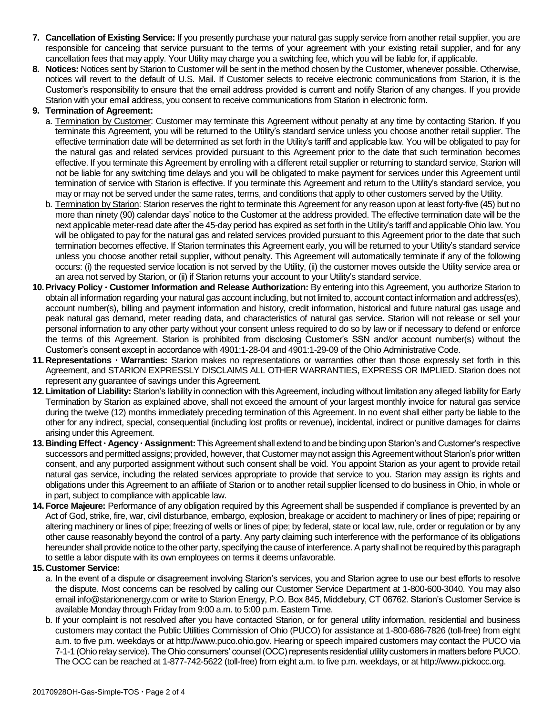- **7. Cancellation of Existing Service:** If you presently purchase your natural gas supply service from another retail supplier, you are responsible for canceling that service pursuant to the terms of your agreement with your existing retail supplier, and for any cancellation fees that may apply. Your Utility may charge you a switching fee, which you will be liable for, if applicable.
- **8. Notices:** Notices sent by Starion to Customer will be sent in the method chosen by the Customer, whenever possible. Otherwise, notices will revert to the default of U.S. Mail. If Customer selects to receive electronic communications from Starion, it is the Customer's responsibility to ensure that the email address provided is current and notify Starion of any changes. If you provide Starion with your email address, you consent to receive communications from Starion in electronic form.

## **9. Termination of Agreement:**

- a. Termination by Customer: Customer may terminate this Agreement without penalty at any time by contacting Starion. If you terminate this Agreement, you will be returned to the Utility's standard service unless you choose another retail supplier. The effective termination date will be determined as set forth in the Utility's tariff and applicable law. You will be obligated to pay for the natural gas and related services provided pursuant to this Agreement prior to the date that such termination becomes effective. If you terminate this Agreement by enrolling with a different retail supplier or returning to standard service, Starion will not be liable for any switching time delays and you will be obligated to make payment for services under this Agreement until termination of service with Starion is effective. If you terminate this Agreement and return to the Utility's standard service, you may or may not be served under the same rates, terms, and conditions that apply to other customers served by the Utility.
- b. Termination by Starion: Starion reserves the right to terminate this Agreement for any reason upon at least forty-five (45) but no more than ninety (90) calendar days' notice to the Customer at the address provided. The effective termination date will be the next applicable meter-read date after the 45-day period has expired as set forth in the Utility's tariff and applicable Ohio law. You will be obligated to pay for the natural gas and related services provided pursuant to this Agreement prior to the date that such termination becomes effective. If Starion terminates this Agreement early, you will be returned to your Utility's standard service unless you choose another retail supplier, without penalty. This Agreement will automatically terminate if any of the following occurs: (i) the requested service location is not served by the Utility, (ii) the customer moves outside the Utility service area or an area not served by Starion, or (ii) if Starion returns your account to your Utility's standard service.
- **10.Privacy Policy Customer Information and Release Authorization:** By entering into this Agreement, you authorize Starion to obtain all information regarding your natural gas account including, but not limited to, account contact information and address(es), account number(s), billing and payment information and history, credit information, historical and future natural gas usage and peak natural gas demand, meter reading data, and characteristics of natural gas service. Starion will not release or sell your personal information to any other party without your consent unless required to do so by law or if necessary to defend or enforce the terms of this Agreement. Starion is prohibited from disclosing Customer's SSN and/or account number(s) without the Customer's consent except in accordance with 4901:1-28-04 and 4901:1-29-09 of the Ohio Administrative Code.
- **11.Representations Warranties:** Starion makes no representations or warranties other than those expressly set forth in this Agreement, and STARION EXPRESSLY DISCLAIMS ALL OTHER WARRANTIES, EXPRESS OR IMPLIED. Starion does not represent any guarantee of savings under this Agreement.
- **12.Limitation of Liability:** Starion's liability in connection with this Agreement, including without limitation any alleged liability for Early Termination by Starion as explained above, shall not exceed the amount of your largest monthly invoice for natural gas service during the twelve (12) months immediately preceding termination of this Agreement. In no event shall either party be liable to the other for any indirect, special, consequential (including lost profits or revenue), incidental, indirect or punitive damages for claims arising under this Agreement.
- **13.Binding Effect Agency Assignment:** This Agreement shall extend to and be binding upon Starion's and Customer's respective successors and permitted assigns; provided, however, that Customer may not assign this Agreement without Starion's prior written consent, and any purported assignment without such consent shall be void. You appoint Starion as your agent to provide retail natural gas service, including the related services appropriate to provide that service to you. Starion may assign its rights and obligations under this Agreement to an affiliate of Starion or to another retail supplier licensed to do business in Ohio, in whole or in part, subject to compliance with applicable law.
- **14.Force Majeure:** Performance of any obligation required by this Agreement shall be suspended if compliance is prevented by an Act of God, strike, fire, war, civil disturbance, embargo, explosion, breakage or accident to machinery or lines of pipe; repairing or altering machinery or lines of pipe; freezing of wells or lines of pipe; by federal, state or local law, rule, order or regulation or by any other cause reasonably beyond the control of a party. Any party claiming such interference with the performance of its obligations hereunder shall provide notice to the other party, specifying the cause of interference. A party shall not be required by this paragraph to settle a labor dispute with its own employees on terms it deems unfavorable.

## **15.Customer Service:**

- a. In the event of a dispute or disagreement involving Starion's services, you and Starion agree to use our best efforts to resolve the dispute. Most concerns can be resolved by calling our Customer Service Department at 1-800-600-3040. You may also email info@starionenergy.com or write to Starion Energy, P.O. Box 845, Middlebury, CT 06762. Starion's Customer Service is available Monday through Friday from 9:00 a.m. to 5:00 p.m. Eastern Time.
- b. If your complaint is not resolved after you have contacted Starion, or for general utility information, residential and business customers may contact the Public Utilities Commission of Ohio (PUCO) for assistance at 1-800-686-7826 (toll-free) from eight a.m. to five p.m. weekdays or at http://www.puco.ohio.gov. Hearing or speech impaired customers may contact the PUCO via 7-1-1 (Ohio relay service). The Ohio consumers' counsel (OCC) represents residential utility customers in matters before PUCO. The OCC can be reached at 1-877-742-5622 (toll-free) from eight a.m. to five p.m. weekdays, or at http://www.pickocc.org.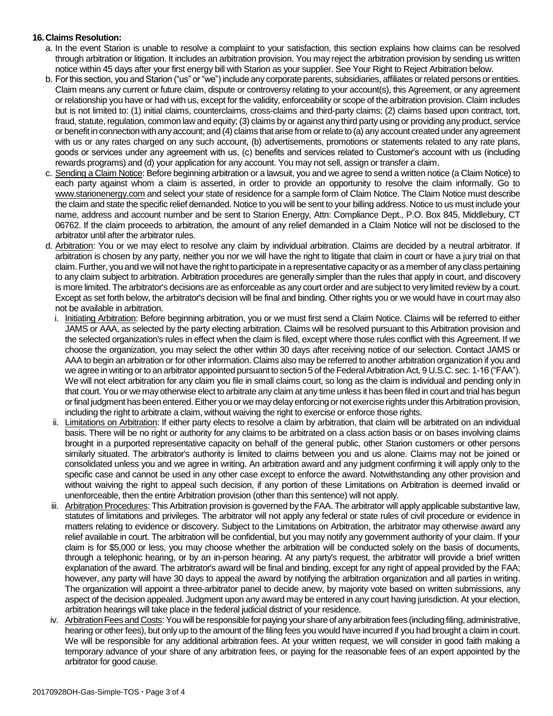## **16.Claims Resolution:**

- a. In the event Starion is unable to resolve a complaint to your satisfaction, this section explains how claims can be resolved through arbitration or litigation. It includes an arbitration provision. You may reject the arbitration provision by sending us written notice within 45 days after your first energy bill with Starion as your supplier. See Your Right to Reject Arbitration below.
- b. For this section, you and Starion ("us" or "we") include any corporate parents, subsidiaries, affiliates or related persons or entities. Claim means any current or future claim, dispute or controversy relating to your account(s), this Agreement, or any agreement or relationship you have or had with us, except for the validity, enforceability or scope of the arbitration provision. Claim includes but is not limited to: (1) initial claims, counterclaims, cross-claims and third-party claims; (2) claims based upon contract, tort, fraud, statute, regulation, common law and equity; (3) claims by or against any third party using or providing any product, service or benefit in connection with any account; and (4) claims that arise from or relate to (a) any account created under any agreement with us or any rates charged on any such account, (b) advertisements, promotions or statements related to any rate plans, goods or services under any agreement with us, (c) benefits and services related to Customer's account with us (including rewards programs) and (d) your application for any account. You may not sell, assign or transfer a claim.
- c. Sending a Claim Notice: Before beginning arbitration or a lawsuit, you and we agree to send a written notice (a Claim Notice) to each party against whom a claim is asserted, in order to provide an opportunity to resolve the claim informally. Go to www.starionenergy.com and select your state of residence for a sample form of Claim Notice. The Claim Notice must describe the claim and state the specific relief demanded. Notice to you will be sent to your billing address. Notice to us must include your name, address and account number and be sent to Starion Energy, Attn: Compliance Dept., P.O. Box 845, Middlebury, CT 06762. If the claim proceeds to arbitration, the amount of any relief demanded in a Claim Notice will not be disclosed to the arbitrator until after the arbitrator rules.
- d. Arbitration: You or we may elect to resolve any claim by individual arbitration. Claims are decided by a neutral arbitrator. If arbitration is chosen by any party, neither you nor we will have the right to litigate that claim in court or have a jury trial on that claim. Further, you and we will not have the right to participate in a representative capacity or as a member of any class pertaining to any claim subject to arbitration. Arbitration procedures are generally simpler than the rules that apply in court, and discovery is more limited. The arbitrator's decisions are as enforceable as any court order and are subject to very limited review by a court. Except as set forth below, the arbitrator's decision will be final and binding. Other rights you or we would have in court may also not be available in arbitration.
	- i. Initiating Arbitration: Before beginning arbitration, you or we must first send a Claim Notice. Claims will be referred to either JAMS or AAA, as selected by the party electing arbitration. Claims will be resolved pursuant to this Arbitration provision and the selected organization's rules in effect when the claim is filed, except where those rules conflict with this Agreement. If we choose the organization, you may select the other within 30 days after receiving notice of our selection. Contact JAMS or AAA to begin an arbitration or for other information. Claims also may be referred to another arbitration organization if you and we agree in writing or to an arbitrator appointed pursuant to section 5 of the Federal Arbitration Act, 9 U.S.C. sec. 1-16 ("FAA"). We will not elect arbitration for any claim you file in small claims court, so long as the claim is individual and pending only in that court. You or we may otherwise elect to arbitrate any claim at any time unless it has been filed in court and trial has begun or final judgment has been entered. Either you or we may delay enforcing or not exercise rights under this Arbitration provision, including the right to arbitrate a claim, without waiving the right to exercise or enforce those rights.
	- ii. Limitations on Arbitration: If either party elects to resolve a claim by arbitration, that claim will be arbitrated on an individual basis. There will be no right or authority for any claims to be arbitrated on a class action basis or on bases involving claims brought in a purported representative capacity on behalf of the general public, other Starion customers or other persons similarly situated. The arbitrator's authority is limited to claims between you and us alone. Claims may not be joined or consolidated unless you and we agree in writing. An arbitration award and any judgment confirming it will apply only to the specific case and cannot be used in any other case except to enforce the award. Notwithstanding any other provision and without waiving the right to appeal such decision, if any portion of these Limitations on Arbitration is deemed invalid or unenforceable, then the entire Arbitration provision (other than this sentence) will not apply.
	- iii. Arbitration Procedures: This Arbitration provision is governed by the FAA. The arbitrator will apply applicable substantive law, statutes of limitations and privileges. The arbitrator will not apply any federal or state rules of civil procedure or evidence in matters relating to evidence or discovery. Subject to the Limitations on Arbitration, the arbitrator may otherwise award any relief available in court. The arbitration will be confidential, but you may notify any government authority of your claim. If your claim is for \$5,000 or less, you may choose whether the arbitration will be conducted solely on the basis of documents, through a telephonic hearing, or by an in-person hearing. At any party's request, the arbitrator will provide a brief written explanation of the award. The arbitrator's award will be final and binding, except for any right of appeal provided by the FAA; however, any party will have 30 days to appeal the award by notifying the arbitration organization and all parties in writing. The organization will appoint a three-arbitrator panel to decide anew, by majority vote based on written submissions, any aspect of the decision appealed. Judgment upon any award may be entered in any court having jurisdiction. At your election, arbitration hearings will take place in the federal judicial district of your residence.
- iv. Arbitration Fees and Costs: You will be responsible for paying your share of any arbitration fees (including filing, administrative, hearing or other fees), but only up to the amount of the filing fees you would have incurred if you had brought a claim in court. We will be responsible for any additional arbitration fees. At your written request, we will consider in good faith making a temporary advance of your share of any arbitration fees, or paying for the reasonable fees of an expert appointed by the arbitrator for good cause.